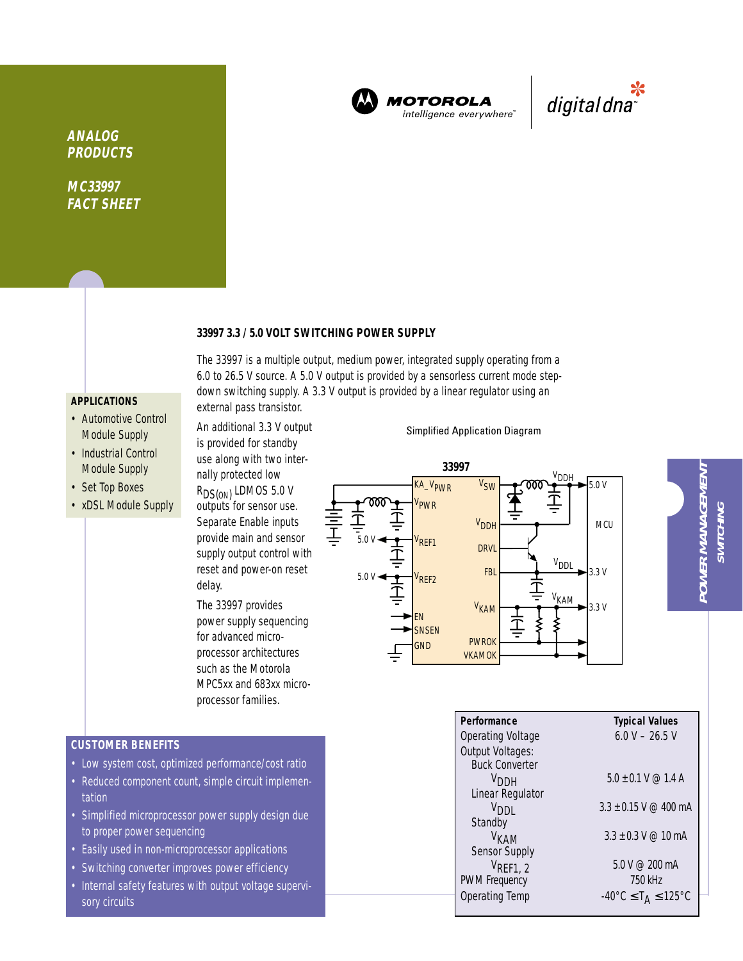

**MOTOROLA** intelligence everywhere<sup>®</sup>



**ANALOG PRODUCTS**

**MC33997 FACT SHEET**

## **33997 3.3 / 5.0 VOLT SWITCHING POWER SUPPLY**

The 33997 is a multiple output, medium power, integrated supply operating from a 6.0 to 26.5 V source. A 5.0 V output is provided by a sensorless current mode stepdown switching supply. A 3.3 V output is provided by a linear regulator using an

# **APPLICATIONS**

- Automotive Control Module Supply
- Industrial Control Module Supply
- Set Top Boxes
- xDSL Module Supply

outputs for sensor use. Separate Enable inputs provide main and sensor supply output control with reset and power-on reset delay.

external pass transistor. An additional 3.3 V output is provided for standby use along with two internally protected low R<sub>DS(ON)</sub> LDMOS 5.0 V

The 33997 provides power supply sequencing for advanced microprocessor architectures such as the Motorola MPC5xx and 683xx microprocessor families.

## Simplified Application Diagram

#### 5.0 V **33997** 5.0 V 5.0 V 3.3 V 3.3 V **MCU SNSFN** VREF1 VPWR KA\_VPWR GND EN V<sub>SW</sub> V<sub>DDH</sub> **DRVL** FBL PWROK V<sub>KAM</sub> VKAMOK V<sub>REF2</sub> <sup>V</sup>DD⊦ V<sub>KAM</sub> V<sub>DDL</sub>

| ٠ |
|---|
|   |
|   |
|   |
|   |
|   |
|   |
|   |
|   |
|   |
|   |
|   |
|   |
|   |
|   |
|   |
|   |
|   |
|   |
|   |
|   |

| Performance           | <b>Typical Values</b>                              |
|-----------------------|----------------------------------------------------|
| Operating Voltage     | $6.0 V - 26.5 V$                                   |
| Output Voltages:      |                                                    |
| <b>Buck Converter</b> |                                                    |
| V <sub>DDH</sub>      | $5.0 + 0.1$ V @ 1.4 A                              |
| Linear Regulator      |                                                    |
| V <sub>DDI</sub>      | $3.3 + 0.15$ V @ 400 mA                            |
| Standby               |                                                    |
| <sup>V</sup> кам      | $3.3 + 0.3$ V @ 10 mA                              |
| Sensor Supply         |                                                    |
| $V_{\text{REF1, 2}}$  | 5.0 V @ 200 mA                                     |
| <b>PWM Frequency</b>  | 750 kHz                                            |
| <b>Operating Temp</b> | $-40^{\circ}$ C $\leq$ T <sub>A</sub> $\leq$ 125°C |
|                       |                                                    |

**CUSTOMER BENEFITS**

- Low system cost, optimized performance/cost ratio
- Reduced component count, simple circuit implementation
- Simplified microprocessor power supply design due to proper power sequencing
- Easily used in non-microprocessor applications
- Switching converter improves power efficiency
- Internal safety features with output voltage supervisory circuits